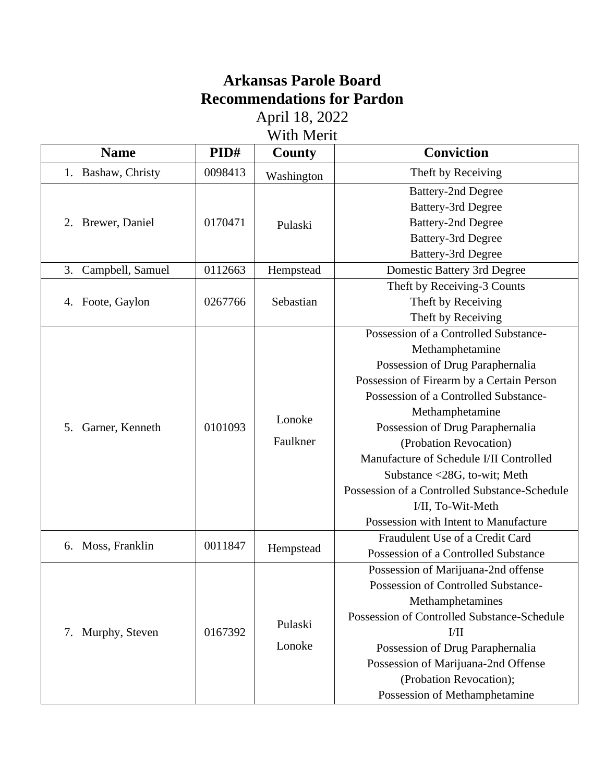# **Arkansas Parole Board Recommendations for Pardon**

April 18, 2022

| With Merit             |         |                    |                                               |  |
|------------------------|---------|--------------------|-----------------------------------------------|--|
| <b>Name</b>            | PID#    | County             | <b>Conviction</b>                             |  |
| 1. Bashaw, Christy     | 0098413 | Washington         | Theft by Receiving                            |  |
|                        |         |                    | <b>Battery-2nd Degree</b>                     |  |
|                        | 0170471 | Pulaski            | <b>Battery-3rd Degree</b>                     |  |
| Brewer, Daniel<br>2.   |         |                    | <b>Battery-2nd Degree</b>                     |  |
|                        |         |                    | <b>Battery-3rd Degree</b>                     |  |
|                        |         |                    | <b>Battery-3rd Degree</b>                     |  |
| Campbell, Samuel<br>3. | 0112663 | Hempstead          | Domestic Battery 3rd Degree                   |  |
|                        |         | Sebastian          | Theft by Receiving-3 Counts                   |  |
| Foote, Gaylon<br>4.    | 0267766 |                    | Theft by Receiving                            |  |
|                        |         |                    | Theft by Receiving                            |  |
|                        |         | Lonoke<br>Faulkner | Possession of a Controlled Substance-         |  |
|                        |         |                    | Methamphetamine                               |  |
| 5.<br>Garner, Kenneth  |         |                    | Possession of Drug Paraphernalia              |  |
|                        |         |                    | Possession of Firearm by a Certain Person     |  |
|                        |         |                    | Possession of a Controlled Substance-         |  |
|                        | 0101093 |                    | Methamphetamine                               |  |
|                        |         |                    | Possession of Drug Paraphernalia              |  |
|                        |         |                    | (Probation Revocation)                        |  |
|                        |         |                    | Manufacture of Schedule I/II Controlled       |  |
|                        |         |                    | Substance <28G, to-wit; Meth                  |  |
|                        |         |                    | Possession of a Controlled Substance-Schedule |  |
|                        |         |                    | I/II, To-Wit-Meth                             |  |
|                        |         |                    | Possession with Intent to Manufacture         |  |
| Moss, Franklin         | 0011847 | Hempstead          | Fraudulent Use of a Credit Card               |  |
| 6.                     |         |                    | Possession of a Controlled Substance          |  |
| Murphy, Steven<br>7.   |         | Pulaski            | Possession of Marijuana-2nd offense           |  |
|                        |         |                    | Possession of Controlled Substance-           |  |
|                        |         |                    | Methamphetamines                              |  |
|                        |         |                    | Possession of Controlled Substance-Schedule   |  |
|                        | 0167392 |                    | VII                                           |  |
|                        |         | Lonoke             | Possession of Drug Paraphernalia              |  |
|                        |         |                    | Possession of Marijuana-2nd Offense           |  |
|                        |         |                    | (Probation Revocation);                       |  |
|                        |         |                    | Possession of Methamphetamine                 |  |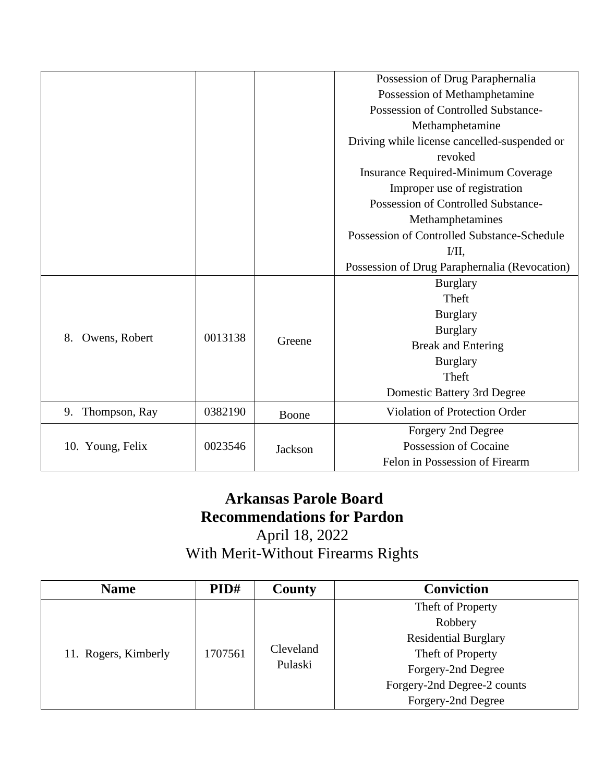|         |         | Possession of Drug Paraphernalia              |
|---------|---------|-----------------------------------------------|
|         |         | Possession of Methamphetamine                 |
|         |         | Possession of Controlled Substance-           |
|         |         | Methamphetamine                               |
|         |         | Driving while license cancelled-suspended or  |
|         |         | revoked                                       |
|         |         | <b>Insurance Required-Minimum Coverage</b>    |
|         |         | Improper use of registration                  |
|         |         | Possession of Controlled Substance-           |
|         |         | Methamphetamines                              |
|         |         | Possession of Controlled Substance-Schedule   |
|         |         | I/II.                                         |
|         |         | Possession of Drug Paraphernalia (Revocation) |
| 0013138 | Greene  | <b>Burglary</b>                               |
|         |         | Theft                                         |
|         |         | <b>Burglary</b>                               |
|         |         | <b>Burglary</b>                               |
|         |         | <b>Break and Entering</b>                     |
|         |         | <b>Burglary</b>                               |
|         |         | Theft                                         |
|         |         | Domestic Battery 3rd Degree                   |
| 0382190 | Boone   | Violation of Protection Order                 |
| 0023546 | Jackson | Forgery 2nd Degree                            |
|         |         | Possession of Cocaine                         |
|         |         | Felon in Possession of Firearm                |
|         |         |                                               |

#### **Arkansas Parole Board Recommendations for Pardon** April 18, 2022 With Merit-Without Firearms Rights

| <b>Name</b>          | PID#    | <b>County</b>        | <b>Conviction</b>           |
|----------------------|---------|----------------------|-----------------------------|
| 11. Rogers, Kimberly | 1707561 | Cleveland<br>Pulaski | Theft of Property           |
|                      |         |                      | Robbery                     |
|                      |         |                      | <b>Residential Burglary</b> |
|                      |         |                      | Theft of Property           |
|                      |         |                      | Forgery-2nd Degree          |
|                      |         |                      | Forgery-2nd Degree-2 counts |
|                      |         |                      | Forgery-2nd Degree          |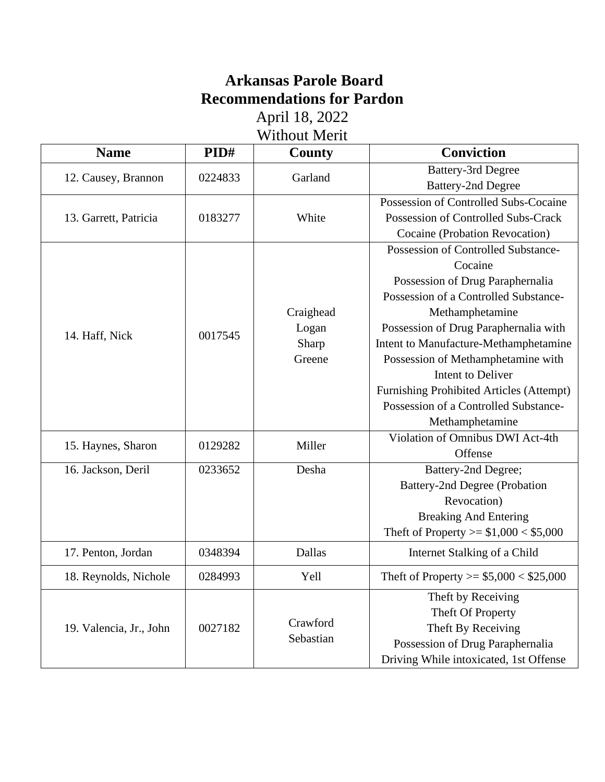# **Arkansas Parole Board Recommendations for Pardon**

April 18, 2022 Without Merit

| <b>Name</b>             | PID#    | County                | <b>Conviction</b>                            |
|-------------------------|---------|-----------------------|----------------------------------------------|
| 12. Causey, Brannon     | 0224833 | Garland               | <b>Battery-3rd Degree</b>                    |
|                         |         |                       | <b>Battery-2nd Degree</b>                    |
|                         |         |                       | Possession of Controlled Subs-Cocaine        |
| 13. Garrett, Patricia   | 0183277 | White                 | Possession of Controlled Subs-Crack          |
|                         |         |                       | Cocaine (Probation Revocation)               |
|                         |         |                       | Possession of Controlled Substance-          |
|                         |         |                       | Cocaine                                      |
|                         |         |                       | Possession of Drug Paraphernalia             |
|                         |         |                       | Possession of a Controlled Substance-        |
|                         |         | Craighead             | Methamphetamine                              |
| 14. Haff, Nick          | 0017545 | Logan                 | Possession of Drug Paraphernalia with        |
|                         |         | Sharp                 | Intent to Manufacture-Methamphetamine        |
|                         |         | Greene                | Possession of Methamphetamine with           |
|                         |         |                       | Intent to Deliver                            |
|                         |         |                       | Furnishing Prohibited Articles (Attempt)     |
|                         |         |                       | Possession of a Controlled Substance-        |
|                         |         |                       | Methamphetamine                              |
| 15. Haynes, Sharon      | 0129282 | Miller                | Violation of Omnibus DWI Act-4th             |
|                         |         |                       | Offense                                      |
| 16. Jackson, Deril      | 0233652 | Desha                 | Battery-2nd Degree;                          |
|                         |         |                       | Battery-2nd Degree (Probation                |
|                         |         |                       | Revocation)                                  |
|                         |         |                       | <b>Breaking And Entering</b>                 |
|                         |         |                       | Theft of Property >= $$1,000 < $5,000$       |
| 17. Penton, Jordan      | 0348394 | Dallas                | Internet Stalking of a Child                 |
| 18. Reynolds, Nichole   | 0284993 | Yell                  | Theft of Property > $\le$ \$5,000 < \$25,000 |
|                         |         |                       | Theft by Receiving                           |
| 19. Valencia, Jr., John | 0027182 | Crawford<br>Sebastian | Theft Of Property                            |
|                         |         |                       | Theft By Receiving                           |
|                         |         |                       | Possession of Drug Paraphernalia             |
|                         |         |                       | Driving While intoxicated, 1st Offense       |